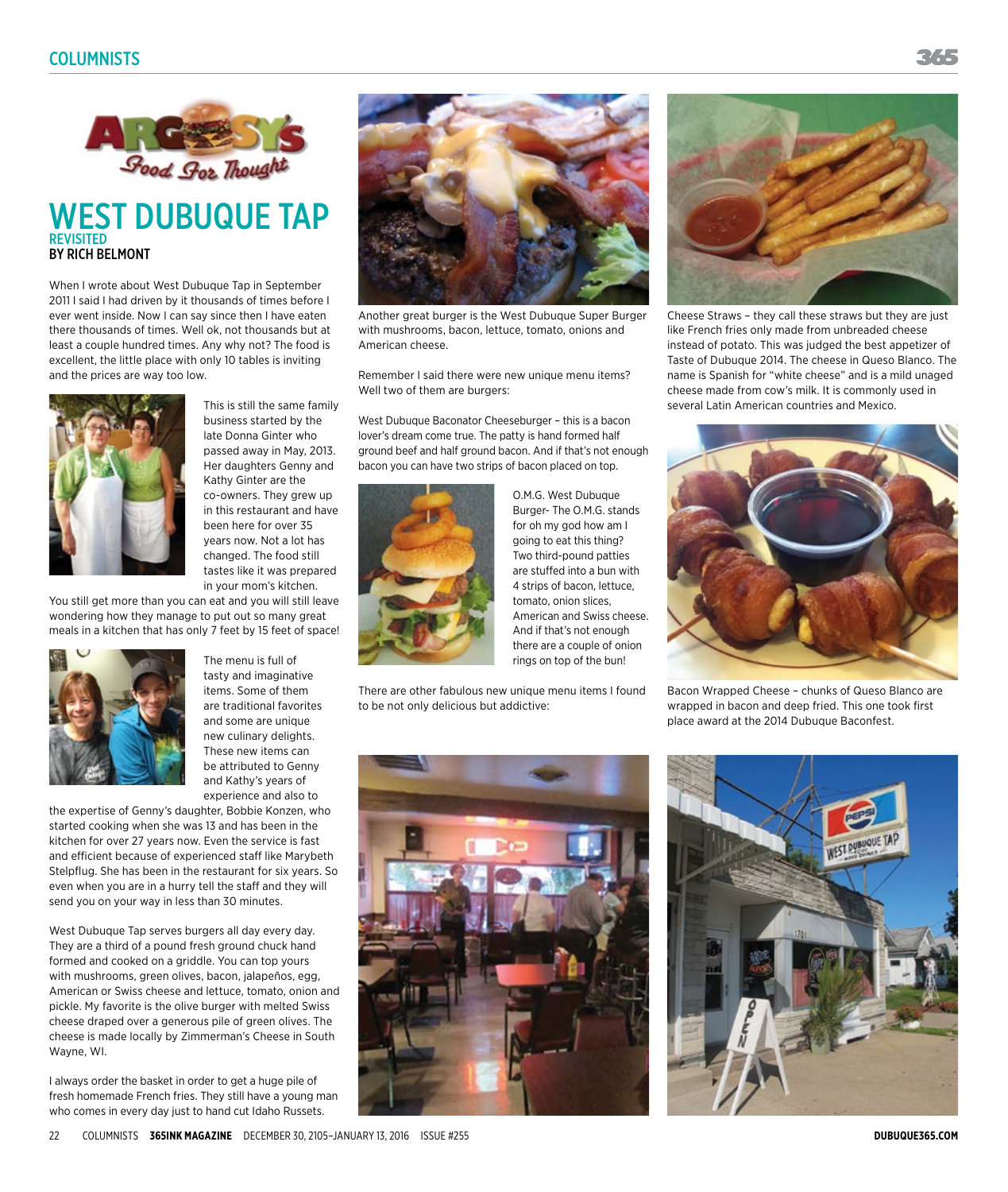

## WEST DUBUQUE TAP **REVISITED** BY RICH BELMONT

When I wrote about West Dubuque Tap in September 2011 I said I had driven by it thousands of times before I ever went inside. Now I can say since then I have eaten there thousands of times. Well ok, not thousands but at least a couple hundred times. Any why not? The food is excellent, the little place with only 10 tables is inviting and the prices are way too low.



This is still the same family business started by the late Donna Ginter who passed away in May, 2013. Her daughters Genny and Kathy Ginter are the co-owners. They grew up in this restaurant and have been here for over 35 years now. Not a lot has changed. The food still tastes like it was prepared in your mom's kitchen.

You still get more than you can eat and you will still leave wondering how they manage to put out so many great meals in a kitchen that has only 7 feet by 15 feet of space!



tasty and imaginative items. Some of them are traditional favorites and some are unique new culinary delights. These new items can be attributed to Genny and Kathy's years of experience and also to

The menu is full of

the expertise of Genny's daughter, Bobbie Konzen, who started cooking when she was 13 and has been in the kitchen for over 27 years now. Even the service is fast and efficient because of experienced staff like Marybeth Stelpflug. She has been in the restaurant for six years. So even when you are in a hurry tell the staff and they will send you on your way in less than 30 minutes.

West Dubuque Tap serves burgers all day every day. They are a third of a pound fresh ground chuck hand formed and cooked on a griddle. You can top yours with mushrooms, green olives, bacon, jalapeños, egg, American or Swiss cheese and lettuce, tomato, onion and pickle. My favorite is the olive burger with melted Swiss cheese draped over a generous pile of green olives. The cheese is made locally by Zimmerman's Cheese in South Wayne, WI.

I always order the basket in order to get a huge pile of fresh homemade French fries. They still have a young man who comes in every day just to hand cut Idaho Russets.





Another great burger is the West Dubuque Super Burger with mushrooms, bacon, lettuce, tomato, onions and American cheese.

Remember I said there were new unique menu items? Well two of them are burgers:

West Dubuque Baconator Cheeseburger – this is a bacon lover's dream come true. The patty is hand formed half ground beef and half ground bacon. And if that's not enough bacon you can have two strips of bacon placed on top.



O.M.G. West Dubuque Burger- The O.M.G. stands for oh my god how am I going to eat this thing? Two third-pound patties are stuffed into a bun with 4 strips of bacon, lettuce, tomato, onion slices, American and Swiss cheese. And if that's not enough there are a couple of onion rings on top of the bun!

There are other fabulous new unique menu items I found to be not only delicious but addictive:



Cheese Straws – they call these straws but they are just like French fries only made from unbreaded cheese instead of potato. This was judged the best appetizer of Taste of Dubuque 2014. The cheese in Queso Blanco. The name is Spanish for "white cheese" and is a mild unaged cheese made from cow's milk. It is commonly used in several Latin American countries and Mexico.



Bacon Wrapped Cheese – chunks of Queso Blanco are wrapped in bacon and deep fried. This one took first place award at the 2014 Dubuque Baconfest.